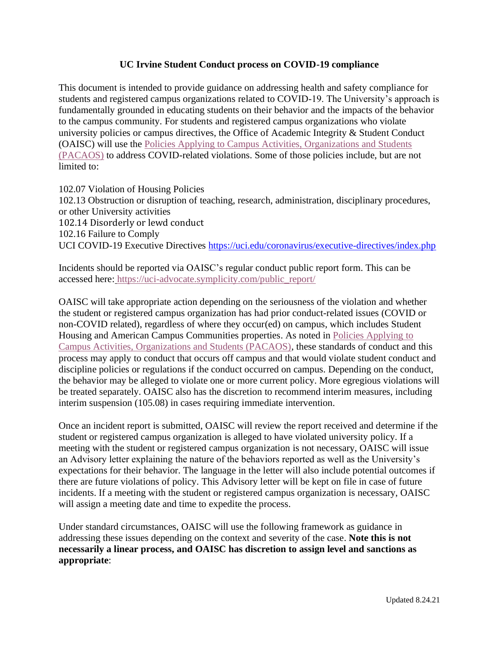## **UC Irvine Student Conduct process on COVID-19 compliance**

This document is intended to provide guidance on addressing health and safety compliance for students and registered campus organizations related to COVID-19. The University's approach is fundamentally grounded in educating students on their behavior and the impacts of the behavior to the campus community. For students and registered campus organizations who violate university policies or campus directives, the Office of Academic Integrity & Student Conduct (OAISC) will use the [Policies Applying to Campus Activities, Organizations and Students](https://aisc.uci.edu/policies/pacaos/grounds-for-discipline.php)  [\(PACAOS\)](https://aisc.uci.edu/policies/pacaos/grounds-for-discipline.php) to address COVID-related violations. Some of those policies include, but are not limited to:

102.07 Violation of Housing Policies 102.13 Obstruction or disruption of teaching, research, administration, disciplinary procedures, or other University activities 102.14 Disorderly or lewd conduct 102.16 Failure to Comply UCI COVID-19 Executive Directives <https://uci.edu/coronavirus/executive-directives/index.php>

Incidents should be reported via OAISC's regular conduct public report form. This can be accessed here: [https://uci-advocate.symplicity.com/public\\_report/](https://uci-advocate.symplicity.com/public_report/)

OAISC will take appropriate action depending on the seriousness of the violation and whether the student or registered campus organization has had prior conduct-related issues (COVID or non-COVID related), regardless of where they occur(ed) on campus, which includes Student Housing and American Campus Communities properties. As noted in [Policies Applying to](https://aisc.uci.edu/policies/pacaos/discipline-procedures.php)  [Campus Activities, Organizations and Students \(PACAOS\),](https://aisc.uci.edu/policies/pacaos/discipline-procedures.php) these standards of conduct and this process may apply to conduct that occurs off campus and that would violate student conduct and discipline policies or regulations if the conduct occurred on campus. Depending on the conduct, the behavior may be alleged to violate one or more current policy. More egregious violations will be treated separately. OAISC also has the discretion to recommend interim measures, including interim suspension (105.08) in cases requiring immediate intervention.

Once an incident report is submitted, OAISC will review the report received and determine if the student or registered campus organization is alleged to have violated university policy. If a meeting with the student or registered campus organization is not necessary, OAISC will issue an Advisory letter explaining the nature of the behaviors reported as well as the University's expectations for their behavior. The language in the letter will also include potential outcomes if there are future violations of policy. This Advisory letter will be kept on file in case of future incidents. If a meeting with the student or registered campus organization is necessary, OAISC will assign a meeting date and time to expedite the process.

Under standard circumstances, OAISC will use the following framework as guidance in addressing these issues depending on the context and severity of the case. **Note this is not necessarily a linear process, and OAISC has discretion to assign level and sanctions as appropriate**: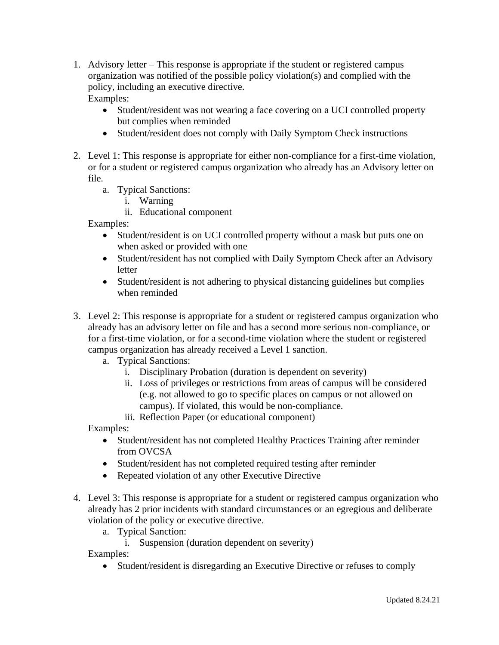- 1. Advisory letter This response is appropriate if the student or registered campus organization was notified of the possible policy violation(s) and complied with the policy, including an executive directive. Examples:
	- Student/resident was not wearing a face covering on a UCI controlled property but complies when reminded
	- Student/resident does not comply with Daily Symptom Check instructions
- 2. Level 1: This response is appropriate for either non-compliance for a first-time violation, or for a student or registered campus organization who already has an Advisory letter on file.
	- a. Typical Sanctions:
		- i. Warning
		- ii. Educational component

Examples:

- Student/resident is on UCI controlled property without a mask but puts one on when asked or provided with one
- Student/resident has not complied with Daily Symptom Check after an Advisory letter
- Student/resident is not adhering to physical distancing guidelines but complies when reminded
- 3. Level 2: This response is appropriate for a student or registered campus organization who already has an advisory letter on file and has a second more serious non-compliance, or for a first-time violation, or for a second-time violation where the student or registered campus organization has already received a Level 1 sanction.
	- a. Typical Sanctions:
		- i. Disciplinary Probation (duration is dependent on severity)
		- ii. Loss of privileges or restrictions from areas of campus will be considered (e.g. not allowed to go to specific places on campus or not allowed on campus). If violated, this would be non-compliance.
		- iii. Reflection Paper (or educational component)

Examples:

- Student/resident has not completed Healthy Practices Training after reminder from OVCSA
- Student/resident has not completed required testing after reminder
- Repeated violation of any other Executive Directive
- 4. Level 3: This response is appropriate for a student or registered campus organization who already has 2 prior incidents with standard circumstances or an egregious and deliberate violation of the policy or executive directive.
	- a. Typical Sanction:
		- i. Suspension (duration dependent on severity)

Examples:

• Student/resident is disregarding an Executive Directive or refuses to comply